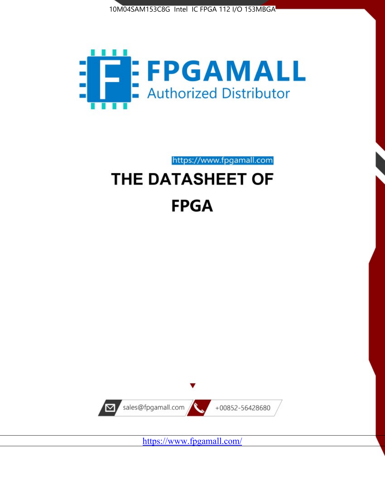



# https://www.fpgamall.com THE DATASHEET OF

# **FPGA**



<https://www.fpgamall.com/>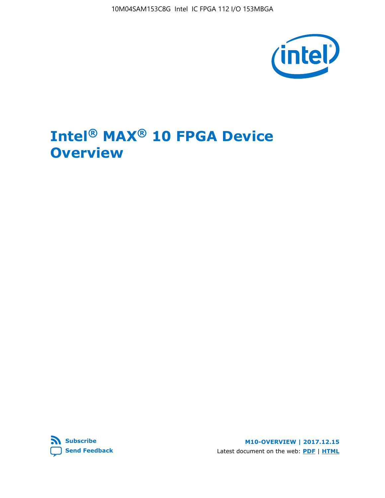10M04SAM153C8G Intel IC FPGA 112 I/O 153MBGA



# **Intel® MAX® 10 FPGA Device Overview**



**M10-OVERVIEW | 2017.12.15** Latest document on the web: **[PDF](https://www.altera.com/en_US/pdfs/literature/hb/max-10/m10_overview.pdf)** | **[HTML](https://www.altera.com/documentation/myt1396938463674.html)**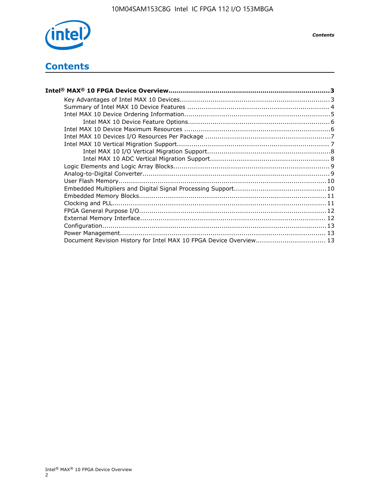

*Contents*

# **Contents**

| Intel® MAX® 10 FPGA Device Overview…………………………………………………………………………………………3 |  |
|------------------------------------------------------------------------|--|
|                                                                        |  |
|                                                                        |  |
|                                                                        |  |
|                                                                        |  |
|                                                                        |  |
|                                                                        |  |
|                                                                        |  |
|                                                                        |  |
|                                                                        |  |
|                                                                        |  |
|                                                                        |  |
|                                                                        |  |
|                                                                        |  |
|                                                                        |  |
|                                                                        |  |
|                                                                        |  |
|                                                                        |  |
|                                                                        |  |
|                                                                        |  |
| Document Revision History for Intel MAX 10 FPGA Device Overview 13     |  |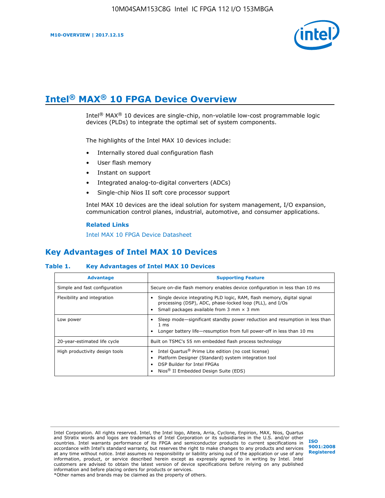

# **Intel® MAX® 10 FPGA Device Overview**

Intel<sup>®</sup> MAX<sup>®</sup> 10 devices are single-chip, non-volatile low-cost programmable logic devices (PLDs) to integrate the optimal set of system components.

The highlights of the Intel MAX 10 devices include:

- Internally stored dual configuration flash
- User flash memory
- Instant on support
- Integrated analog-to-digital converters (ADCs)
- Single-chip Nios II soft core processor support

Intel MAX 10 devices are the ideal solution for system management, I/O expansion, communication control planes, industrial, automotive, and consumer applications.

#### **Related Links**

[Intel MAX 10 FPGA Device Datasheet](https://www.altera.com/documentation/mcn1397700832153.html#mcn1397643748870)

## **Key Advantages of Intel MAX 10 Devices**

### **Table 1. Key Advantages of Intel MAX 10 Devices**

| <b>Advantage</b>               | <b>Supporting Feature</b>                                                                                                                                                                                  |  |  |  |
|--------------------------------|------------------------------------------------------------------------------------------------------------------------------------------------------------------------------------------------------------|--|--|--|
| Simple and fast configuration  | Secure on-die flash memory enables device configuration in less than 10 ms                                                                                                                                 |  |  |  |
| Flexibility and integration    | Single device integrating PLD logic, RAM, flash memory, digital signal<br>processing (DSP), ADC, phase-locked loop (PLL), and I/Os<br>Small packages available from 3 mm $\times$ 3 mm                     |  |  |  |
| Low power                      | Sleep mode—significant standby power reduction and resumption in less than<br>$1 \text{ ms}$<br>Longer battery life-resumption from full power-off in less than 10 ms                                      |  |  |  |
| 20-year-estimated life cycle   | Built on TSMC's 55 nm embedded flash process technology                                                                                                                                                    |  |  |  |
| High productivity design tools | Intel Quartus <sup>®</sup> Prime Lite edition (no cost license)<br>Platform Designer (Standard) system integration tool<br>DSP Builder for Intel FPGAs<br>Nios <sup>®</sup> II Embedded Design Suite (EDS) |  |  |  |

Intel Corporation. All rights reserved. Intel, the Intel logo, Altera, Arria, Cyclone, Enpirion, MAX, Nios, Quartus and Stratix words and logos are trademarks of Intel Corporation or its subsidiaries in the U.S. and/or other countries. Intel warrants performance of its FPGA and semiconductor products to current specifications in accordance with Intel's standard warranty, but reserves the right to make changes to any products and services at any time without notice. Intel assumes no responsibility or liability arising out of the application or use of any information, product, or service described herein except as expressly agreed to in writing by Intel. Intel customers are advised to obtain the latest version of device specifications before relying on any published information and before placing orders for products or services. \*Other names and brands may be claimed as the property of others.

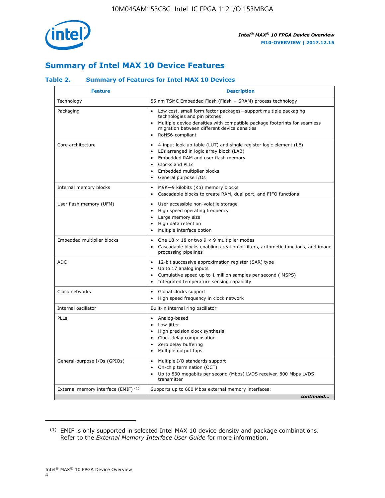

# **Summary of Intel MAX 10 Device Features**

## **Table 2. Summary of Features for Intel MAX 10 Devices**

| <b>Feature</b>                       | <b>Description</b>                                                                                                                                                                                                                                                                            |
|--------------------------------------|-----------------------------------------------------------------------------------------------------------------------------------------------------------------------------------------------------------------------------------------------------------------------------------------------|
| Technology                           | 55 nm TSMC Embedded Flash (Flash + SRAM) process technology                                                                                                                                                                                                                                   |
| Packaging                            | Low cost, small form factor packages-support multiple packaging<br>technologies and pin pitches<br>Multiple device densities with compatible package footprints for seamless<br>migration between different device densities<br>RoHS6-compliant                                               |
| Core architecture                    | 4-input look-up table (LUT) and single register logic element (LE)<br>$\bullet$<br>LEs arranged in logic array block (LAB)<br>$\bullet$<br>Embedded RAM and user flash memory<br>$\bullet$<br>Clocks and PLLs<br>$\bullet$<br>Embedded multiplier blocks<br>General purpose I/Os<br>$\bullet$ |
| Internal memory blocks               | M9K-9 kilobits (Kb) memory blocks<br>$\bullet$<br>Cascadable blocks to create RAM, dual port, and FIFO functions<br>$\bullet$                                                                                                                                                                 |
| User flash memory (UFM)              | User accessible non-volatile storage<br>$\bullet$<br>High speed operating frequency<br>$\bullet$<br>Large memory size<br>High data retention<br>$\bullet$<br>Multiple interface option                                                                                                        |
| Embedded multiplier blocks           | One $18 \times 18$ or two 9 $\times$ 9 multiplier modes<br>$\bullet$<br>Cascadable blocks enabling creation of filters, arithmetic functions, and image<br>processing pipelines                                                                                                               |
| <b>ADC</b>                           | 12-bit successive approximation register (SAR) type<br>$\bullet$<br>Up to 17 analog inputs<br>$\bullet$<br>Cumulative speed up to 1 million samples per second (MSPS)<br>Integrated temperature sensing capability<br>$\bullet$                                                               |
| Clock networks                       | Global clocks support<br>$\bullet$<br>High speed frequency in clock network                                                                                                                                                                                                                   |
| Internal oscillator                  | Built-in internal ring oscillator                                                                                                                                                                                                                                                             |
| PLLs                                 | Analog-based<br>$\bullet$<br>Low jitter<br>High precision clock synthesis<br>$\bullet$<br>Clock delay compensation<br>$\bullet$<br>Zero delay buffering<br>٠<br>Multiple output taps<br>$\bullet$                                                                                             |
| General-purpose I/Os (GPIOs)         | Multiple I/O standards support<br>$\bullet$<br>On-chip termination (OCT)<br>٠<br>Up to 830 megabits per second (Mbps) LVDS receiver, 800 Mbps LVDS<br>transmitter                                                                                                                             |
| External memory interface (EMIF) (1) | Supports up to 600 Mbps external memory interfaces:<br>continued                                                                                                                                                                                                                              |
|                                      |                                                                                                                                                                                                                                                                                               |

<sup>(1)</sup> EMIF is only supported in selected Intel MAX 10 device density and package combinations. Refer to the *External Memory Interface User Guide* for more information.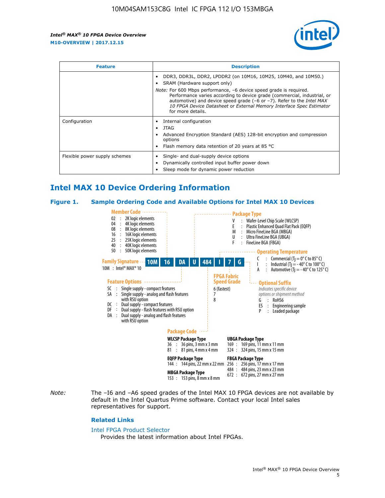

| <b>Feature</b>                | <b>Description</b>                                                                                                                                                                                                                                                                                                                                                                                                            |  |  |  |
|-------------------------------|-------------------------------------------------------------------------------------------------------------------------------------------------------------------------------------------------------------------------------------------------------------------------------------------------------------------------------------------------------------------------------------------------------------------------------|--|--|--|
|                               | DDR3, DDR3L, DDR2, LPDDR2 (on 10M16, 10M25, 10M40, and 10M50.)<br>SRAM (Hardware support only)<br><i>Note:</i> For 600 Mbps performance, -6 device speed grade is required.<br>Performance varies according to device grade (commercial, industrial, or<br>automotive) and device speed grade (-6 or -7). Refer to the Intel MAX<br>10 FPGA Device Datasheet or External Memory Interface Spec Estimator<br>for more details. |  |  |  |
| Configuration                 | Internal configuration<br>JTAG<br>٠<br>Advanced Encryption Standard (AES) 128-bit encryption and compression<br>options<br>Flash memory data retention of 20 years at 85 $^{\circ}$ C                                                                                                                                                                                                                                         |  |  |  |
| Flexible power supply schemes | Single- and dual-supply device options<br>Dynamically controlled input buffer power down<br>Sleep mode for dynamic power reduction                                                                                                                                                                                                                                                                                            |  |  |  |

# **Intel MAX 10 Device Ordering Information**

#### **Figure 1. Sample Ordering Code and Available Options for Intel MAX 10 Devices**



*Note:* The –I6 and –A6 speed grades of the Intel MAX 10 FPGA devices are not available by default in the Intel Quartus Prime software. Contact your local Intel sales representatives for support.

#### **Related Links**

#### [Intel FPGA Product Selector](http://www.altera.com/products/selector/psg-selector.html)

Provides the latest information about Intel FPGAs.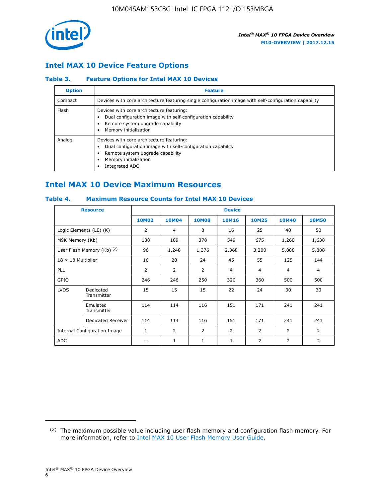

## **Intel MAX 10 Device Feature Options**

## **Table 3. Feature Options for Intel MAX 10 Devices**

| <b>Option</b> | <b>Feature</b>                                                                                                                                                                          |
|---------------|-----------------------------------------------------------------------------------------------------------------------------------------------------------------------------------------|
| Compact       | Devices with core architecture featuring single configuration image with self-configuration capability                                                                                  |
| Flash         | Devices with core architecture featuring:<br>Dual configuration image with self-configuration capability<br>Remote system upgrade capability<br>Memory initialization                   |
| Analog        | Devices with core architecture featuring:<br>Dual configuration image with self-configuration capability<br>Remote system upgrade capability<br>Memory initialization<br>Integrated ADC |

# **Intel MAX 10 Device Maximum Resources**

## **Table 4. Maximum Resource Counts for Intel MAX 10 Devices**

| <b>Resource</b>              |                            | <b>Device</b> |                |                |                |                |                |                |
|------------------------------|----------------------------|---------------|----------------|----------------|----------------|----------------|----------------|----------------|
|                              |                            | <b>10M02</b>  | 10M04          | <b>10M08</b>   | <b>10M16</b>   | <b>10M25</b>   | <b>10M40</b>   | <b>10M50</b>   |
|                              | Logic Elements (LE) (K)    | 2             | 4              | 8              | 16             | 25             | 40             | 50             |
| M9K Memory (Kb)              |                            | 108           | 189            | 378            | 549            | 675            | 1,260          | 1,638          |
|                              | User Flash Memory (Kb) (2) | 96            | 1,248          | 1,376          | 2,368          | 3,200          | 5,888          | 5,888          |
| $18 \times 18$ Multiplier    |                            | 16            | 20             | 24             | 45             | 55             | 125            | 144            |
| <b>PLL</b>                   |                            | 2             | $\overline{2}$ | $\overline{2}$ | 4              | $\overline{4}$ | 4              | $\overline{4}$ |
| GPIO                         |                            | 246           | 246            | 250            | 320            | 360            | 500            | 500            |
| <b>LVDS</b>                  | Dedicated<br>Transmitter   | 15            | 15             | 15             | 22             | 24             | 30             | 30             |
|                              | Emulated<br>Transmitter    | 114           | 114            | 116            | 151            | 171            | 241            | 241            |
|                              | Dedicated Receiver         | 114           | 114            | 116            | 151            | 171            | 241            | 241            |
| Internal Configuration Image |                            | $\mathbf{1}$  | $\overline{2}$ | $\overline{2}$ | $\overline{2}$ | 2              | $\overline{2}$ | $\overline{2}$ |
| <b>ADC</b>                   |                            |               | 1              | $\mathbf{1}$   | $\mathbf{1}$   | 2              | 2              | 2              |

<sup>(2)</sup> The maximum possible value including user flash memory and configuration flash memory. For more information, refer to [Intel MAX 10 User Flash Memory User Guide](https://www.altera.com/documentation/vgo1395753117436.html#vgo1395811844282).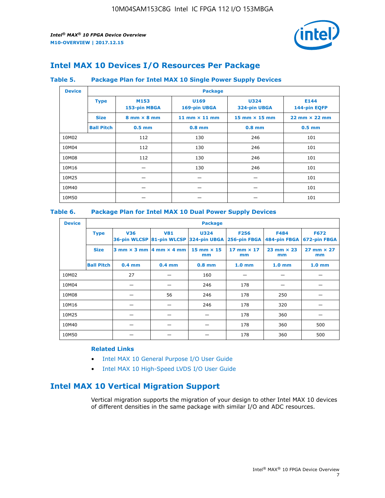

# **Intel MAX 10 Devices I/O Resources Per Package**

### **Table 5. Package Plan for Intel MAX 10 Single Power Supply Devices**

| <b>Device</b> | <b>Package</b>    |                                    |                      |                             |                                      |  |  |  |
|---------------|-------------------|------------------------------------|----------------------|-----------------------------|--------------------------------------|--|--|--|
|               | <b>Type</b>       | M153<br>153-pin MBGA               | U169<br>169-pin UBGA | <b>U324</b><br>324-pin UBGA | E144<br>144-pin EQFP                 |  |  |  |
|               | <b>Size</b>       | $8 \text{ mm} \times 8 \text{ mm}$ | 11 mm $\times$ 11 mm | 15 mm $\times$ 15 mm        | $22 \text{ mm} \times 22 \text{ mm}$ |  |  |  |
|               | <b>Ball Pitch</b> | $0.5$ mm                           | $0.8$ mm             | $0.8$ mm                    | $0.5$ mm                             |  |  |  |
| 10M02         |                   | 112                                | 130                  | 246                         | 101                                  |  |  |  |
| 10M04         |                   | 112                                | 130                  | 246                         | 101                                  |  |  |  |
| 10M08         |                   | 112                                | 130                  | 246                         | 101                                  |  |  |  |
| 10M16         |                   |                                    | 130                  | 246                         | 101                                  |  |  |  |
| 10M25         |                   |                                    |                      |                             | 101                                  |  |  |  |
| 10M40         |                   |                                    |                      |                             | 101                                  |  |  |  |
| 10M50         |                   |                                    |                      |                             | 101                                  |  |  |  |

## **Table 6. Package Plan for Intel MAX 10 Dual Power Supply Devices**

| <b>Device</b> |                   | <b>Package</b> |                                            |                                                                    |                         |                           |                             |  |  |
|---------------|-------------------|----------------|--------------------------------------------|--------------------------------------------------------------------|-------------------------|---------------------------|-----------------------------|--|--|
|               | <b>Type</b>       | <b>V36</b>     | <b>V81</b>                                 | <b>U324</b><br>36-pin WLCSP 81-pin WLCSP 324-pin UBGA 256-pin FBGA | <b>F256</b>             | F484<br>484-pin FBGA      | <b>F672</b><br>672-pin FBGA |  |  |
|               | <b>Size</b>       |                | $3$ mm $\times$ 3 mm $ 4$ mm $\times$ 4 mm | $15$ mm $\times$ 15<br>mm                                          | 17 mm $\times$ 17<br>mm | $23$ mm $\times$ 23<br>mm | $27$ mm $\times$ 27<br>mm   |  |  |
|               | <b>Ball Pitch</b> | $0.4$ mm       | $0.4$ mm                                   | $0.8$ mm                                                           | 1.0 <sub>mm</sub>       | 1.0 <sub>mm</sub>         | 1.0 <sub>mm</sub>           |  |  |
| 10M02         |                   | 27             |                                            | 160                                                                |                         |                           |                             |  |  |
| 10M04         |                   |                |                                            | 246                                                                | 178                     |                           |                             |  |  |
| 10M08         |                   |                | 56                                         | 246                                                                | 178                     | 250                       |                             |  |  |
| 10M16         |                   |                |                                            | 246                                                                | 178                     | 320                       |                             |  |  |
| 10M25         |                   |                |                                            |                                                                    | 178                     | 360                       |                             |  |  |
| 10M40         |                   |                |                                            |                                                                    | 178                     | 360                       | 500                         |  |  |
| 10M50         |                   |                |                                            |                                                                    | 178                     | 360                       | 500                         |  |  |

## **Related Links**

- [Intel MAX 10 General Purpose I/O User Guide](https://www.altera.com/documentation/sam1393999966669.html#sam1394000084476)
- [Intel MAX 10 High-Speed LVDS I/O User Guide](https://www.altera.com/documentation/sam1394433606063.html#sam1394433911642)

# **Intel MAX 10 Vertical Migration Support**

Vertical migration supports the migration of your design to other Intel MAX 10 devices of different densities in the same package with similar I/O and ADC resources.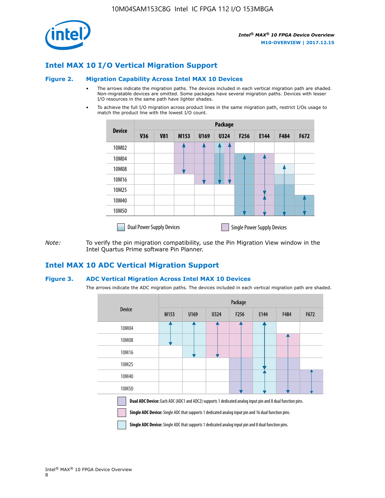

## **Intel MAX 10 I/O Vertical Migration Support**

#### **Figure 2. Migration Capability Across Intel MAX 10 Devices**

- The arrows indicate the migration paths. The devices included in each vertical migration path are shaded. Non-migratable devices are omitted. Some packages have several migration paths. Devices with lesser I/O resources in the same path have lighter shades.
- To achieve the full I/O migration across product lines in the same migration path, restrict I/Os usage to match the product line with the lowest I/O count.

|               | <b>Package</b>                   |            |      |      |             |      |                                    |      |      |  |
|---------------|----------------------------------|------------|------|------|-------------|------|------------------------------------|------|------|--|
| <b>Device</b> | <b>V36</b>                       | <b>V81</b> | M153 | U169 | <b>U324</b> | F256 | E144                               | F484 | F672 |  |
| 10M02         |                                  |            |      |      | 7           |      |                                    |      |      |  |
| 10M04         |                                  |            |      |      |             |      |                                    |      |      |  |
| 10M08         |                                  |            |      |      |             |      |                                    |      |      |  |
| 10M16         |                                  |            |      |      |             |      |                                    |      |      |  |
| 10M25         |                                  |            |      |      |             |      |                                    |      |      |  |
| 10M40         |                                  |            |      |      |             |      |                                    |      |      |  |
| 10M50         |                                  |            |      |      |             |      |                                    |      |      |  |
|               | <b>Dual Power Supply Devices</b> |            |      |      |             |      | <b>Single Power Supply Devices</b> |      |      |  |

*Note:* To verify the pin migration compatibility, use the Pin Migration View window in the Intel Quartus Prime software Pin Planner.

## **Intel MAX 10 ADC Vertical Migration Support**

#### **Figure 3. ADC Vertical Migration Across Intel MAX 10 Devices**

The arrows indicate the ADC migration paths. The devices included in each vertical migration path are shaded.

|                                                                                                                                                                                                                         | Package |      |      |                  |      |      |      |  |  |
|-------------------------------------------------------------------------------------------------------------------------------------------------------------------------------------------------------------------------|---------|------|------|------------------|------|------|------|--|--|
| <b>Device</b>                                                                                                                                                                                                           | M153    | U169 | U324 | F <sub>256</sub> | E144 | F484 | F672 |  |  |
| 10M04                                                                                                                                                                                                                   |         |      |      |                  |      |      |      |  |  |
| 10M08                                                                                                                                                                                                                   |         |      |      |                  |      |      |      |  |  |
| 10M16                                                                                                                                                                                                                   |         |      |      |                  |      |      |      |  |  |
| 10M25                                                                                                                                                                                                                   |         |      |      |                  |      |      |      |  |  |
| 10M40                                                                                                                                                                                                                   |         |      |      |                  |      |      |      |  |  |
| 10M50                                                                                                                                                                                                                   |         |      |      |                  |      |      |      |  |  |
| Dual ADC Device: Each ADC (ADC1 and ADC2) supports 1 dedicated analog input pin and 8 dual function pins.<br><b>Single ADC Device:</b> Single ADC that supports 1 dedicated analog input pin and 16 dual function pins. |         |      |      |                  |      |      |      |  |  |

**Single ADC Device:** Single ADC that supports 1 dedicated analog input pin and 8 dual function pins.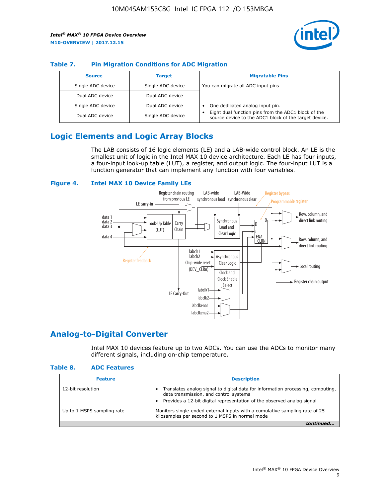

## **Table 7. Pin Migration Conditions for ADC Migration**

| <b>Source</b>     | <b>Target</b>     | <b>Migratable Pins</b>                                                                                            |
|-------------------|-------------------|-------------------------------------------------------------------------------------------------------------------|
| Single ADC device | Single ADC device | You can migrate all ADC input pins                                                                                |
| Dual ADC device   | Dual ADC device   |                                                                                                                   |
| Single ADC device | Dual ADC device   | One dedicated analog input pin.                                                                                   |
| Dual ADC device   | Single ADC device | Eight dual function pins from the ADC1 block of the<br>٠<br>source device to the ADC1 block of the target device. |

# **Logic Elements and Logic Array Blocks**

The LAB consists of 16 logic elements (LE) and a LAB-wide control block. An LE is the smallest unit of logic in the Intel MAX 10 device architecture. Each LE has four inputs, a four-input look-up table (LUT), a register, and output logic. The four-input LUT is a function generator that can implement any function with four variables.

#### **Figure 4. Intel MAX 10 Device Family LEs**



## **Analog-to-Digital Converter**

Intel MAX 10 devices feature up to two ADCs. You can use the ADCs to monitor many different signals, including on-chip temperature.

#### **Table 8. ADC Features**

| <b>Feature</b>             | <b>Description</b>                                                                                                                                                                                  |
|----------------------------|-----------------------------------------------------------------------------------------------------------------------------------------------------------------------------------------------------|
| 12-bit resolution          | Translates analog signal to digital data for information processing, computing,<br>data transmission, and control systems<br>Provides a 12-bit digital representation of the observed analog signal |
| Up to 1 MSPS sampling rate | Monitors single-ended external inputs with a cumulative sampling rate of 25<br>kilosamples per second to 1 MSPS in normal mode                                                                      |
|                            |                                                                                                                                                                                                     |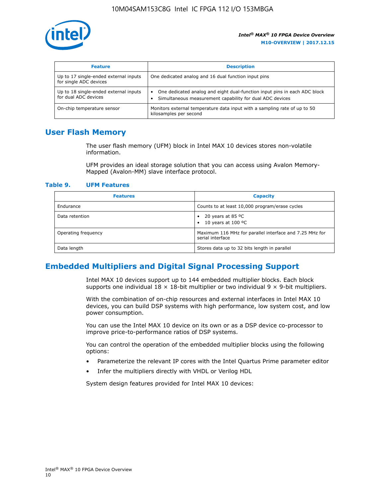

| <b>Feature</b>                                                  | <b>Description</b>                                                                                                                         |
|-----------------------------------------------------------------|--------------------------------------------------------------------------------------------------------------------------------------------|
| Up to 17 single-ended external inputs<br>for single ADC devices | One dedicated analog and 16 dual function input pins                                                                                       |
| Up to 18 single-ended external inputs<br>for dual ADC devices   | One dedicated analog and eight dual-function input pins in each ADC block<br>٠<br>Simultaneous measurement capability for dual ADC devices |
| On-chip temperature sensor                                      | Monitors external temperature data input with a sampling rate of up to 50<br>kilosamples per second                                        |

# **User Flash Memory**

The user flash memory (UFM) block in Intel MAX 10 devices stores non-volatile information.

UFM provides an ideal storage solution that you can access using Avalon Memory-Mapped (Avalon-MM) slave interface protocol.

#### **Table 9. UFM Features**

| <b>Features</b>     | <b>Capacity</b>                                                             |
|---------------------|-----------------------------------------------------------------------------|
| Endurance           | Counts to at least 10,000 program/erase cycles                              |
| Data retention      | 20 years at 85 $^{\circ}$ C<br>٠<br>10 years at 100 °C<br>$\bullet$         |
| Operating frequency | Maximum 116 MHz for parallel interface and 7.25 MHz for<br>serial interface |
| Data length         | Stores data up to 32 bits length in parallel                                |

# **Embedded Multipliers and Digital Signal Processing Support**

Intel MAX 10 devices support up to 144 embedded multiplier blocks. Each block supports one individual  $18 \times 18$ -bit multiplier or two individual  $9 \times 9$ -bit multipliers.

With the combination of on-chip resources and external interfaces in Intel MAX 10 devices, you can build DSP systems with high performance, low system cost, and low power consumption.

You can use the Intel MAX 10 device on its own or as a DSP device co-processor to improve price-to-performance ratios of DSP systems.

You can control the operation of the embedded multiplier blocks using the following options:

- Parameterize the relevant IP cores with the Intel Quartus Prime parameter editor
- Infer the multipliers directly with VHDL or Verilog HDL

System design features provided for Intel MAX 10 devices: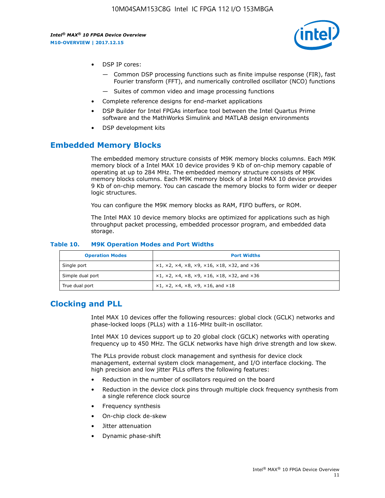

- DSP IP cores:
	- Common DSP processing functions such as finite impulse response (FIR), fast Fourier transform (FFT), and numerically controlled oscillator (NCO) functions
	- Suites of common video and image processing functions
- Complete reference designs for end-market applications
- DSP Builder for Intel FPGAs interface tool between the Intel Quartus Prime software and the MathWorks Simulink and MATLAB design environments
- DSP development kits

## **Embedded Memory Blocks**

The embedded memory structure consists of M9K memory blocks columns. Each M9K memory block of a Intel MAX 10 device provides 9 Kb of on-chip memory capable of operating at up to 284 MHz. The embedded memory structure consists of M9K memory blocks columns. Each M9K memory block of a Intel MAX 10 device provides 9 Kb of on-chip memory. You can cascade the memory blocks to form wider or deeper logic structures.

You can configure the M9K memory blocks as RAM, FIFO buffers, or ROM.

The Intel MAX 10 device memory blocks are optimized for applications such as high throughput packet processing, embedded processor program, and embedded data storage.

| <b>Operation Modes</b> | <b>Port Widths</b>                                                                       |
|------------------------|------------------------------------------------------------------------------------------|
| Single port            | $x1, x2, x4, x8, x9, x16, x18, x32, and x36$                                             |
| Simple dual port       | $x1, x2, x4, x8, x9, x16, x18, x32, and x36$                                             |
| True dual port         | $\times$ 1, $\times$ 2, $\times$ 4, $\times$ 8, $\times$ 9, $\times$ 16, and $\times$ 18 |

#### **Table 10. M9K Operation Modes and Port Widths**

# **Clocking and PLL**

Intel MAX 10 devices offer the following resources: global clock (GCLK) networks and phase-locked loops (PLLs) with a 116-MHz built-in oscillator.

Intel MAX 10 devices support up to 20 global clock (GCLK) networks with operating frequency up to 450 MHz. The GCLK networks have high drive strength and low skew.

The PLLs provide robust clock management and synthesis for device clock management, external system clock management, and I/O interface clocking. The high precision and low jitter PLLs offers the following features:

- Reduction in the number of oscillators required on the board
- Reduction in the device clock pins through multiple clock frequency synthesis from a single reference clock source
- Frequency synthesis
- On-chip clock de-skew
- Jitter attenuation
- Dynamic phase-shift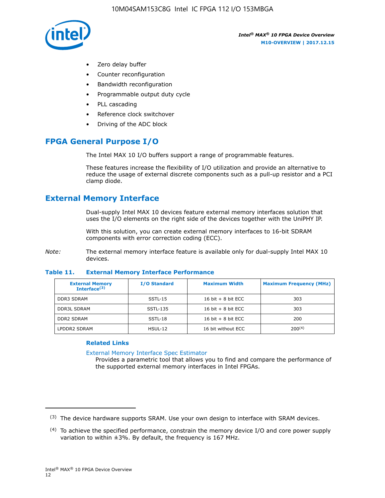

- Zero delay buffer
- Counter reconfiguration
- Bandwidth reconfiguration
- Programmable output duty cycle
- PLL cascading
- Reference clock switchover
- Driving of the ADC block

# **FPGA General Purpose I/O**

The Intel MAX 10 I/O buffers support a range of programmable features.

These features increase the flexibility of I/O utilization and provide an alternative to reduce the usage of external discrete components such as a pull-up resistor and a PCI clamp diode.

# **External Memory Interface**

Dual-supply Intel MAX 10 devices feature external memory interfaces solution that uses the I/O elements on the right side of the devices together with the UniPHY IP.

With this solution, you can create external memory interfaces to 16-bit SDRAM components with error correction coding (ECC).

*Note:* The external memory interface feature is available only for dual-supply Intel MAX 10 devices.

#### **Table 11. External Memory Interface Performance**

| <b>External Memory</b><br>Interface $(3)$ | <b>I/O Standard</b> | <b>Maximum Width</b> | <b>Maximum Frequency (MHz)</b> |
|-------------------------------------------|---------------------|----------------------|--------------------------------|
| <b>DDR3 SDRAM</b>                         | $SSTL-15$           | 16 bit $+8$ bit ECC  | 303                            |
| <b>DDR3L SDRAM</b>                        | SSTL-135            | 16 bit $+8$ bit ECC  | 303                            |
| <b>DDR2 SDRAM</b>                         | SSTL-18             | 16 bit $+8$ bit ECC  | 200                            |
| LPDDR2 SDRAM                              | HSUL-12             | 16 bit without ECC   | $200^{(4)}$                    |

## **Related Links**

[External Memory Interface Spec Estimator](http://www.altera.com/technology/memory/estimator/mem-emif-index.html)

Provides a parametric tool that allows you to find and compare the performance of the supported external memory interfaces in Intel FPGAs.

 $(3)$  The device hardware supports SRAM. Use your own design to interface with SRAM devices.

 $(4)$  To achieve the specified performance, constrain the memory device I/O and core power supply variation to within ±3%. By default, the frequency is 167 MHz.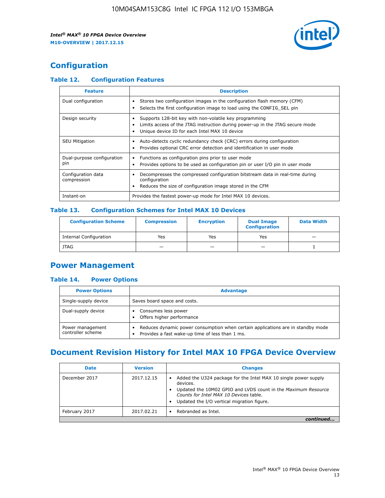

# **Configuration**

## **Table 12. Configuration Features**

| <b>Feature</b>                    | <b>Description</b>                                                                                                                                                                       |
|-----------------------------------|------------------------------------------------------------------------------------------------------------------------------------------------------------------------------------------|
| Dual configuration                | Stores two configuration images in the configuration flash memory (CFM)<br>Selects the first configuration image to load using the CONFIG SEL pin                                        |
| Design security                   | Supports 128-bit key with non-volatile key programming<br>Limits access of the JTAG instruction during power-up in the JTAG secure mode<br>Unique device ID for each Intel MAX 10 device |
| <b>SEU Mitigation</b>             | Auto-detects cyclic redundancy check (CRC) errors during configuration<br>Provides optional CRC error detection and identification in user mode                                          |
| Dual-purpose configuration<br>pin | Functions as configuration pins prior to user mode<br>Provides options to be used as configuration pin or user I/O pin in user mode                                                      |
| Configuration data<br>compression | Decompresses the compressed configuration bitstream data in real-time during<br>configuration<br>Reduces the size of configuration image stored in the CFM                               |
| Instant-on                        | Provides the fastest power-up mode for Intel MAX 10 devices.                                                                                                                             |

### **Table 13. Configuration Schemes for Intel MAX 10 Devices**

| <b>Configuration Scheme</b>   | <b>Compression</b>       | <b>Encryption</b> | <b>Dual Image</b><br><b>Configuration</b> | <b>Data Width</b> |
|-------------------------------|--------------------------|-------------------|-------------------------------------------|-------------------|
| <b>Internal Configuration</b> | Yes                      | Yes               | Yes                                       |                   |
| <b>JTAG</b>                   | $\overline{\phantom{a}}$ |                   | -                                         |                   |

## **Power Management**

## **Table 14. Power Options**

| <b>Power Options</b>                  | <b>Advantage</b>                                                                                                                        |
|---------------------------------------|-----------------------------------------------------------------------------------------------------------------------------------------|
| Single-supply device                  | Saves board space and costs.                                                                                                            |
| Dual-supply device                    | Consumes less power<br>Offers higher performance<br>$\bullet$                                                                           |
| Power management<br>controller scheme | Reduces dynamic power consumption when certain applications are in standby mode<br>Provides a fast wake-up time of less than 1 ms.<br>٠ |

# **Document Revision History for Intel MAX 10 FPGA Device Overview**

| <b>Date</b>   | <b>Version</b> | <b>Changes</b>                                                                                                                                                                                                                       |
|---------------|----------------|--------------------------------------------------------------------------------------------------------------------------------------------------------------------------------------------------------------------------------------|
| December 2017 | 2017.12.15     | Added the U324 package for the Intel MAX 10 single power supply<br>devices.<br>Updated the 10M02 GPIO and LVDS count in the Maximum Resource<br>Counts for Intel MAX 10 Devices table.<br>Updated the I/O vertical migration figure. |
| February 2017 | 2017.02.21     | Rebranded as Intel.                                                                                                                                                                                                                  |
|               |                |                                                                                                                                                                                                                                      |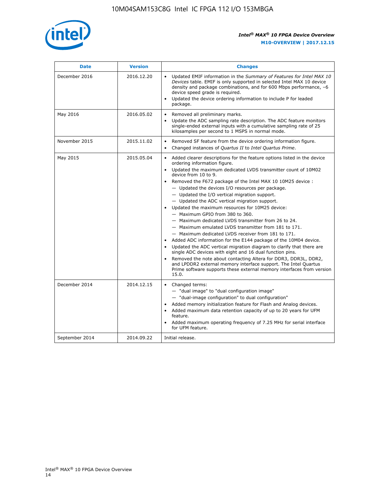

| <b>Date</b>    | <b>Version</b> | <b>Changes</b>                                                                                                                                                                                                                                                                                                                                                                                                                                                                                                                                                                                                                                                                                                                                                                                                                                                                                                                                                                                                                                                                                                                                           |
|----------------|----------------|----------------------------------------------------------------------------------------------------------------------------------------------------------------------------------------------------------------------------------------------------------------------------------------------------------------------------------------------------------------------------------------------------------------------------------------------------------------------------------------------------------------------------------------------------------------------------------------------------------------------------------------------------------------------------------------------------------------------------------------------------------------------------------------------------------------------------------------------------------------------------------------------------------------------------------------------------------------------------------------------------------------------------------------------------------------------------------------------------------------------------------------------------------|
| December 2016  | 2016.12.20     | • Updated EMIF information in the Summary of Features for Intel MAX 10<br>Devices table. EMIF is only supported in selected Intel MAX 10 device<br>density and package combinations, and for 600 Mbps performance, -6<br>device speed grade is required.<br>Updated the device ordering information to include P for leaded<br>package.                                                                                                                                                                                                                                                                                                                                                                                                                                                                                                                                                                                                                                                                                                                                                                                                                  |
| May 2016       | 2016.05.02     | Removed all preliminary marks.<br>Update the ADC sampling rate description. The ADC feature monitors<br>$\bullet$<br>single-ended external inputs with a cumulative sampling rate of 25<br>kilosamples per second to 1 MSPS in normal mode.                                                                                                                                                                                                                                                                                                                                                                                                                                                                                                                                                                                                                                                                                                                                                                                                                                                                                                              |
| November 2015  | 2015.11.02     | Removed SF feature from the device ordering information figure.<br>$\bullet$<br>Changed instances of Quartus II to Intel Quartus Prime.<br>$\bullet$                                                                                                                                                                                                                                                                                                                                                                                                                                                                                                                                                                                                                                                                                                                                                                                                                                                                                                                                                                                                     |
| May 2015       | 2015.05.04     | Added clearer descriptions for the feature options listed in the device<br>$\bullet$<br>ordering information figure.<br>Updated the maximum dedicated LVDS transmitter count of 10M02<br>$\bullet$<br>device from 10 to 9.<br>Removed the F672 package of the Intel MAX 10 10M25 device :<br>- Updated the devices I/O resources per package.<br>$-$ Updated the I/O vertical migration support.<br>- Updated the ADC vertical migration support.<br>Updated the maximum resources for 10M25 device:<br>- Maximum GPIO from 380 to 360.<br>- Maximum dedicated LVDS transmitter from 26 to 24.<br>- Maximum emulated LVDS transmitter from 181 to 171.<br>- Maximum dedicated LVDS receiver from 181 to 171.<br>Added ADC information for the E144 package of the 10M04 device.<br>$\bullet$<br>Updated the ADC vertical migration diagram to clarify that there are<br>single ADC devices with eight and 16 dual function pins.<br>Removed the note about contacting Altera for DDR3, DDR3L, DDR2,<br>and LPDDR2 external memory interface support. The Intel Quartus<br>Prime software supports these external memory interfaces from version<br>15.0. |
| December 2014  | 2014.12.15     | $\bullet$<br>Changed terms:<br>- "dual image" to "dual configuration image"<br>- "dual-image configuration" to dual configuration"<br>Added memory initialization feature for Flash and Analog devices.<br>$\bullet$<br>Added maximum data retention capacity of up to 20 years for UFM<br>$\bullet$<br>feature.<br>Added maximum operating frequency of 7.25 MHz for serial interface<br>for UFM feature.                                                                                                                                                                                                                                                                                                                                                                                                                                                                                                                                                                                                                                                                                                                                               |
| September 2014 | 2014.09.22     | Initial release.                                                                                                                                                                                                                                                                                                                                                                                                                                                                                                                                                                                                                                                                                                                                                                                                                                                                                                                                                                                                                                                                                                                                         |